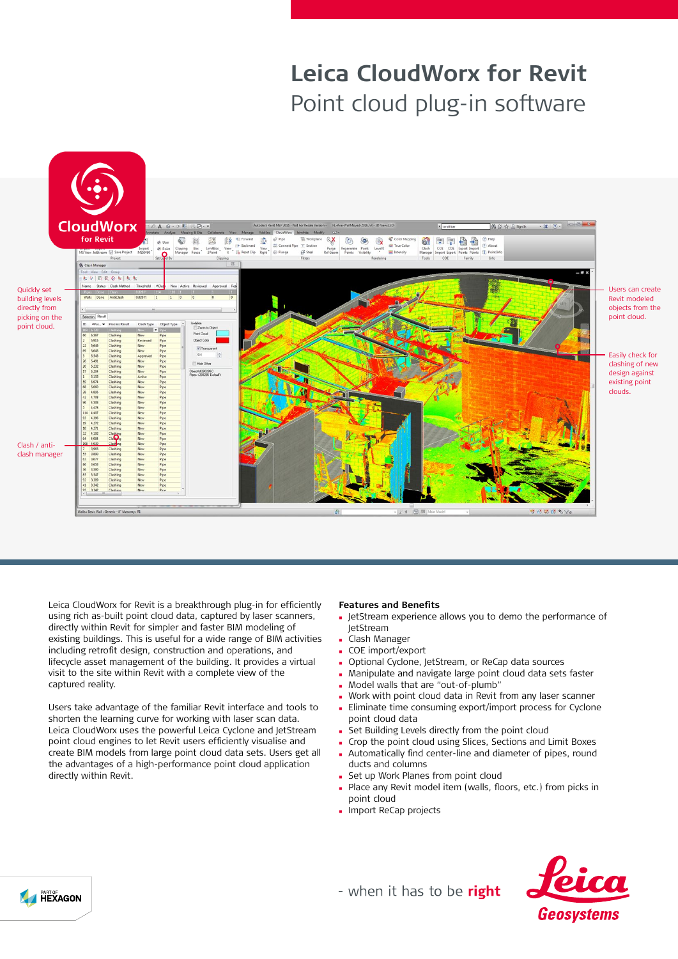# **Leica CloudWorx for Revit** Point cloud plug-in software



Leica CloudWorx for Revit is a breakthrough plug-in for efficiently using rich as-built point cloud data, captured by laser scanners, directly within Revit for simpler and faster BIM modeling of existing buildings. This is useful for a wide range of BIM activities including retrofit design, construction and operations, and lifecycle asset management of the building. It provides a virtual visit to the site within Revit with a complete view of the captured reality.

Users take advantage of the familiar Revit interface and tools to shorten the learning curve for working with laser scan data. Leica CloudWorx uses the powerful Leica Cyclone and JetStream point cloud engines to let Revit users efficiently visualise and create BIM models from large point cloud data sets. Users get all the advantages of a high-performance point cloud application directly within Revit.

### **Features and Benefits**

- <sup>n</sup> JetStream experience allows you to demo the performance of JetStream
- <sup>n</sup> Clash Manager
- COE import/export
- **D** Optional Cyclone, JetStream, or ReCap data sources
- <sup>n</sup> Manipulate and navigate large point cloud data sets faster
- <sup>n</sup> Model walls that are "out-of-plumb"
- Work with point cloud data in Revit from any laser scanner
- **Eliminate time consuming export/import process for Cyclone** point cloud data
- Set Building Levels directly from the point cloud
- Crop the point cloud using Slices, Sections and Limit Boxes
- Automatically find center-line and diameter of pipes, round ducts and columns
- Set up Work Planes from point cloud
- Place any Revit model item (walls, floors, etc.) from picks in point cloud
- **Import ReCap projects**



- when it has to be right